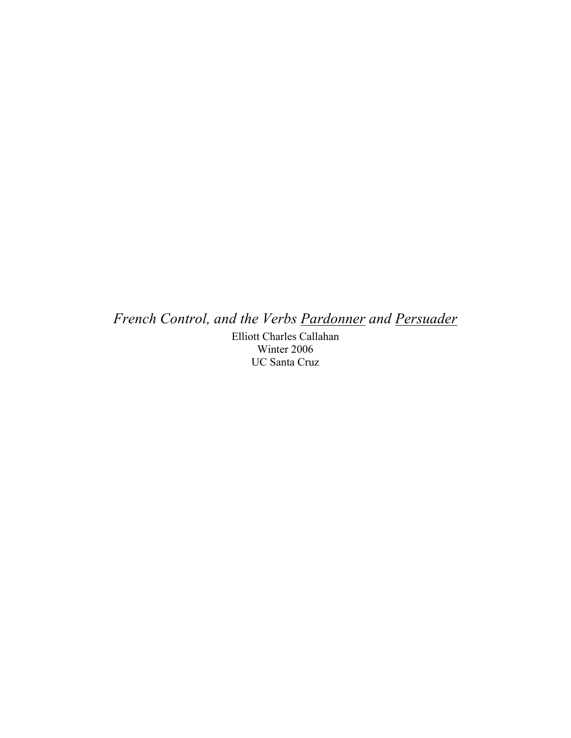*French Control, and the Verbs Pardonner and Persuader*

Elliott Charles Callahan Winter 2006 UC Santa Cruz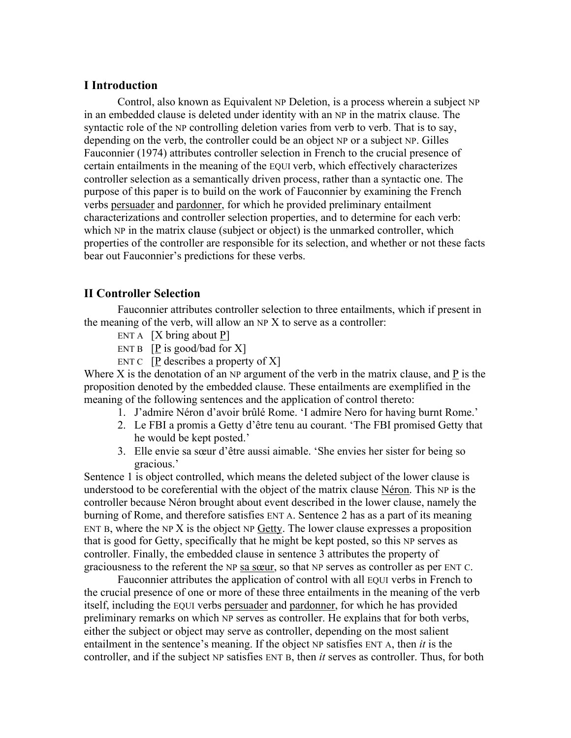# **I Introduction**

Control, also known as Equivalent NP Deletion, is a process wherein a subject NP in an embedded clause is deleted under identity with an NP in the matrix clause. The syntactic role of the NP controlling deletion varies from verb to verb. That is to say, depending on the verb, the controller could be an object NP or a subject NP. Gilles Fauconnier (1974) attributes controller selection in French to the crucial presence of certain entailments in the meaning of the EQUI verb, which effectively characterizes controller selection as a semantically driven process, rather than a syntactic one. The purpose of this paper is to build on the work of Fauconnier by examining the French verbs persuader and pardonner, for which he provided preliminary entailment characterizations and controller selection properties, and to determine for each verb: which NP in the matrix clause (subject or object) is the unmarked controller, which properties of the controller are responsible for its selection, and whether or not these facts bear out Fauconnier's predictions for these verbs.

# **II Controller Selection**

Fauconnier attributes controller selection to three entailments, which if present in the meaning of the verb, will allow an NP X to serve as a controller:

- ENT A  $[X \text{ bring about } P]$
- ENT B  $[P \text{ is good/bad for } X]$
- ENT C  $[P$  describes a property of X

Where X is the denotation of an NP argument of the verb in the matrix clause, and  $\underline{P}$  is the proposition denoted by the embedded clause. These entailments are exemplified in the meaning of the following sentences and the application of control thereto:

- 1. J'admire Néron d'avoir brûlé Rome. 'I admire Nero for having burnt Rome.'
- 2. Le FBI a promis a Getty d'être tenu au courant. 'The FBI promised Getty that he would be kept posted.'
- 3. Elle envie sa sœur d'être aussi aimable. 'She envies her sister for being so gracious.'

Sentence 1 is object controlled, which means the deleted subject of the lower clause is understood to be coreferential with the object of the matrix clause Néron. This NP is the controller because Néron brought about event described in the lower clause, namely the burning of Rome, and therefore satisfies ENT A. Sentence 2 has as a part of its meaning ENT B, where the NP  $X$  is the object NP Getty. The lower clause expresses a proposition that is good for Getty, specifically that he might be kept posted, so this NP serves as controller. Finally, the embedded clause in sentence 3 attributes the property of graciousness to the referent the NP sa sœur, so that NP serves as controller as per ENT C.

Fauconnier attributes the application of control with all EQUI verbs in French to the crucial presence of one or more of these three entailments in the meaning of the verb itself, including the EQUI verbs persuader and pardonner, for which he has provided preliminary remarks on which NP serves as controller. He explains that for both verbs, either the subject or object may serve as controller, depending on the most salient entailment in the sentence's meaning. If the object NP satisfies ENT A, then *it* is the controller, and if the subject NP satisfies ENT B, then *it* serves as controller. Thus, for both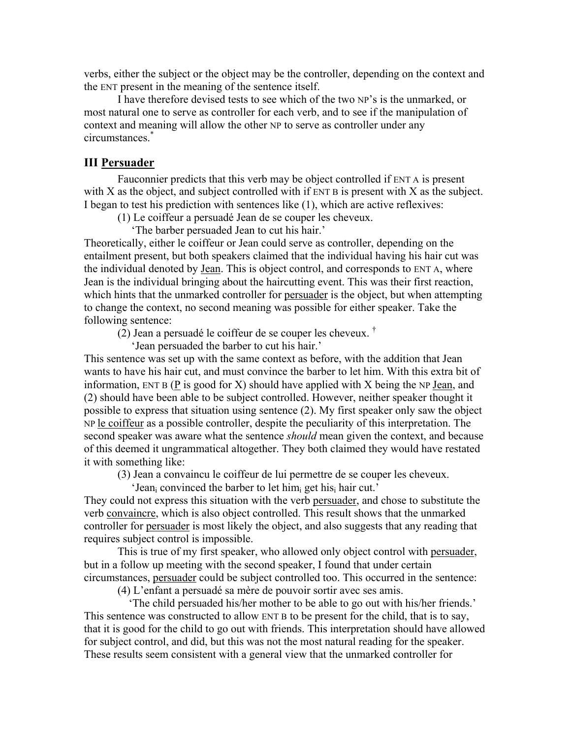verbs, either the subject or the object may be the controller, depending on the context and the ENT present in the meaning of the sentence itself.

I have therefore devised tests to see which of the two NP's is the unmarked, or most natural one to serve as controller for each verb, and to see if the manipulation of context and meaning will allow the other NP to serve as controller under any circumstances.\*

#### **III Persuader**

Fauconnier predicts that this verb may be object controlled if ENT A is present with X as the object, and subject controlled with if ENT B is present with X as the subject. I began to test his prediction with sentences like (1), which are active reflexives:

(1) Le coiffeur a persuadé Jean de se couper les cheveux.

'The barber persuaded Jean to cut his hair.'

Theoretically, either le coiffeur or Jean could serve as controller, depending on the entailment present, but both speakers claimed that the individual having his hair cut was the individual denoted by Jean. This is object control, and corresponds to ENT A, where Jean is the individual bringing about the haircutting event. This was their first reaction, which hints that the unmarked controller for persuader is the object, but when attempting to change the context, no second meaning was possible for either speaker. Take the following sentence:

(2) Jean a persuadé le coiffeur de se couper les cheveux.  $^{\dagger}$ 

'Jean persuaded the barber to cut his hair.'

This sentence was set up with the same context as before, with the addition that Jean wants to have his hair cut, and must convince the barber to let him. With this extra bit of information, ENT B ( $P$  is good for  $X$ ) should have applied with  $X$  being the NP Jean, and (2) should have been able to be subject controlled. However, neither speaker thought it possible to express that situation using sentence (2). My first speaker only saw the object NP le coiffeur as a possible controller, despite the peculiarity of this interpretation. The second speaker was aware what the sentence *should* mean given the context, and because of this deemed it ungrammatical altogether. They both claimed they would have restated it with something like:

(3) Jean a convaincu le coiffeur de lui permettre de se couper les cheveux.

'Jean<sub>i</sub> convinced the barber to let him<sub>i</sub> get his<sub>i</sub> hair cut.'

They could not express this situation with the verb persuader, and chose to substitute the verb convaincre, which is also object controlled. This result shows that the unmarked controller for persuader is most likely the object, and also suggests that any reading that requires subject control is impossible.

This is true of my first speaker, who allowed only object control with persuader, but in a follow up meeting with the second speaker, I found that under certain circumstances, persuader could be subject controlled too. This occurred in the sentence:

(4) L'enfant a persuadé sa mère de pouvoir sortir avec ses amis.

 'The child persuaded his/her mother to be able to go out with his/her friends.' This sentence was constructed to allow ENT B to be present for the child, that is to say, that it is good for the child to go out with friends. This interpretation should have allowed for subject control, and did, but this was not the most natural reading for the speaker. These results seem consistent with a general view that the unmarked controller for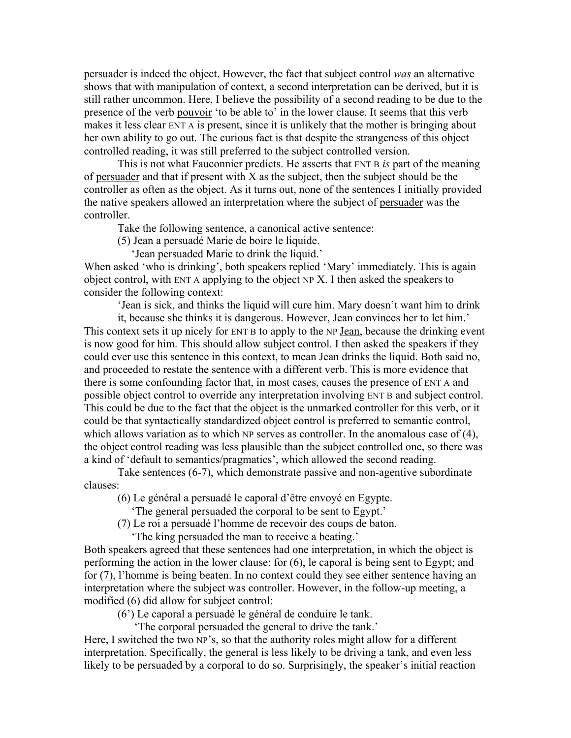persuader is indeed the object. However, the fact that subject control *was* an alternative shows that with manipulation of context, a second interpretation can be derived, but it is still rather uncommon. Here, I believe the possibility of a second reading to be due to the presence of the verb pouvoir 'to be able to' in the lower clause. It seems that this verb makes it less clear ENT A is present, since it is unlikely that the mother is bringing about her own ability to go out. The curious fact is that despite the strangeness of this object controlled reading, it was still preferred to the subject controlled version.

This is not what Fauconnier predicts. He asserts that ENT B *is* part of the meaning of persuader and that if present with  $X$  as the subject, then the subject should be the controller as often as the object. As it turns out, none of the sentences I initially provided the native speakers allowed an interpretation where the subject of persuader was the controller.

Take the following sentence, a canonical active sentence:

(5) Jean a persuadé Marie de boire le liquide.

'Jean persuaded Marie to drink the liquid.'

When asked 'who is drinking', both speakers replied 'Mary' immediately. This is again object control, with ENT A applying to the object NP X. I then asked the speakers to consider the following context:

'Jean is sick, and thinks the liquid will cure him. Mary doesn't want him to drink

it, because she thinks it is dangerous. However, Jean convinces her to let him.' This context sets it up nicely for ENT B to apply to the NP Jean, because the drinking event is now good for him. This should allow subject control. I then asked the speakers if they could ever use this sentence in this context, to mean Jean drinks the liquid. Both said no, and proceeded to restate the sentence with a different verb. This is more evidence that there is some confounding factor that, in most cases, causes the presence of ENT A and possible object control to override any interpretation involving ENT B and subject control. This could be due to the fact that the object is the unmarked controller for this verb, or it could be that syntactically standardized object control is preferred to semantic control, which allows variation as to which NP serves as controller. In the anomalous case of (4), the object control reading was less plausible than the subject controlled one, so there was a kind of 'default to semantics/pragmatics', which allowed the second reading.

Take sentences (6-7), which demonstrate passive and non-agentive subordinate clauses:

(6) Le général a persuadé le caporal d'être envoyé en Egypte.

'The general persuaded the corporal to be sent to Egypt.'

- (7) Le roi a persuadé l'homme de recevoir des coups de baton.
	- 'The king persuaded the man to receive a beating.'

Both speakers agreed that these sentences had one interpretation, in which the object is performing the action in the lower clause: for (6), le caporal is being sent to Egypt; and for (7), l'homme is being beaten. In no context could they see either sentence having an interpretation where the subject was controller. However, in the follow-up meeting, a modified (6) did allow for subject control:

(6') Le caporal a persuadé le général de conduire le tank.

'The corporal persuaded the general to drive the tank.'

Here, I switched the two NP's, so that the authority roles might allow for a different interpretation. Specifically, the general is less likely to be driving a tank, and even less likely to be persuaded by a corporal to do so. Surprisingly, the speaker's initial reaction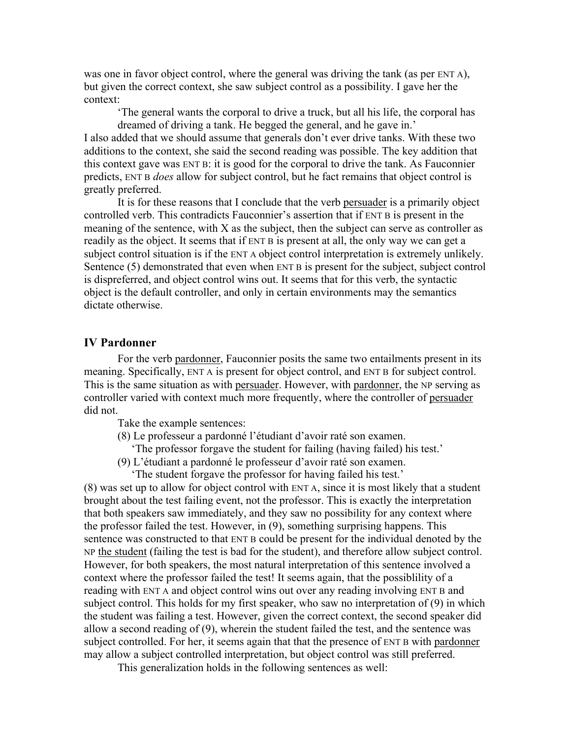was one in favor object control, where the general was driving the tank (as per ENT A), but given the correct context, she saw subject control as a possibility. I gave her the context:

'The general wants the corporal to drive a truck, but all his life, the corporal has dreamed of driving a tank. He begged the general, and he gave in.'

I also added that we should assume that generals don't ever drive tanks. With these two additions to the context, she said the second reading was possible. The key addition that this context gave was ENT B: it is good for the corporal to drive the tank. As Fauconnier predicts, ENT B *does* allow for subject control, but he fact remains that object control is greatly preferred.

It is for these reasons that I conclude that the verb persuader is a primarily object controlled verb. This contradicts Fauconnier's assertion that if ENT B is present in the meaning of the sentence, with X as the subject, then the subject can serve as controller as readily as the object. It seems that if ENT B is present at all, the only way we can get a subject control situation is if the ENT A object control interpretation is extremely unlikely. Sentence (5) demonstrated that even when ENT B is present for the subject, subject control is dispreferred, and object control wins out. It seems that for this verb, the syntactic object is the default controller, and only in certain environments may the semantics dictate otherwise.

#### **IV Pardonner**

For the verb pardonner, Fauconnier posits the same two entailments present in its meaning. Specifically, ENT A is present for object control, and ENT B for subject control. This is the same situation as with persuader. However, with pardonner, the NP serving as controller varied with context much more frequently, where the controller of persuader did not.

Take the example sentences:

(8) Le professeur a pardonné l'étudiant d'avoir raté son examen.

'The professor forgave the student for failing (having failed) his test.'

(9) L'étudiant a pardonné le professeur d'avoir raté son examen. 'The student forgave the professor for having failed his test.'

(8) was set up to allow for object control with ENT A, since it is most likely that a student brought about the test failing event, not the professor. This is exactly the interpretation that both speakers saw immediately, and they saw no possibility for any context where the professor failed the test. However, in (9), something surprising happens. This sentence was constructed to that ENT B could be present for the individual denoted by the NP the student (failing the test is bad for the student), and therefore allow subject control. However, for both speakers, the most natural interpretation of this sentence involved a context where the professor failed the test! It seems again, that the possiblility of a reading with ENT A and object control wins out over any reading involving ENT B and subject control. This holds for my first speaker, who saw no interpretation of (9) in which the student was failing a test. However, given the correct context, the second speaker did allow a second reading of (9), wherein the student failed the test, and the sentence was subject controlled. For her, it seems again that that the presence of ENT B with pardonner may allow a subject controlled interpretation, but object control was still preferred.

This generalization holds in the following sentences as well: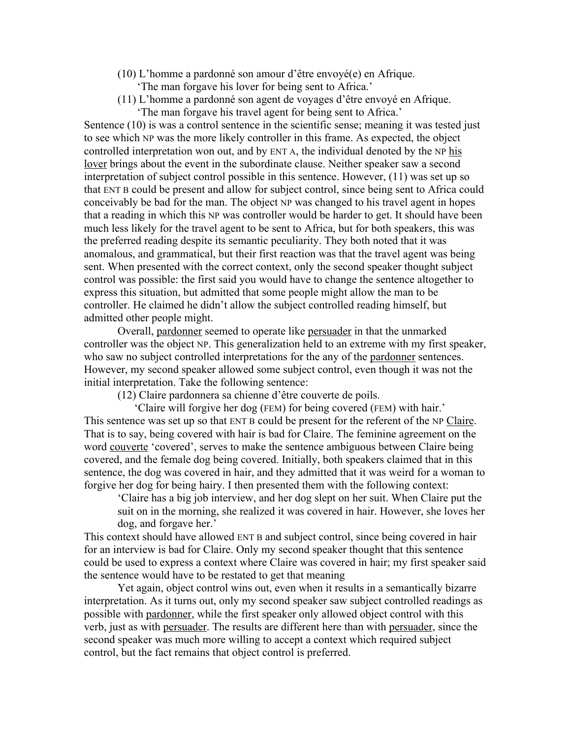- (10) L'homme a pardonné son amour d'être envoyé(e) en Afrique.
	- 'The man forgave his lover for being sent to Africa.'
- (11) L'homme a pardonné son agent de voyages d'être envoyé en Afrique. 'The man forgave his travel agent for being sent to Africa.'

Sentence (10) is was a control sentence in the scientific sense; meaning it was tested just to see which NP was the more likely controller in this frame. As expected, the object controlled interpretation won out, and by ENT A, the individual denoted by the NP his lover brings about the event in the subordinate clause. Neither speaker saw a second interpretation of subject control possible in this sentence. However, (11) was set up so that ENT B could be present and allow for subject control, since being sent to Africa could conceivably be bad for the man. The object NP was changed to his travel agent in hopes that a reading in which this NP was controller would be harder to get. It should have been much less likely for the travel agent to be sent to Africa, but for both speakers, this was the preferred reading despite its semantic peculiarity. They both noted that it was anomalous, and grammatical, but their first reaction was that the travel agent was being sent. When presented with the correct context, only the second speaker thought subject control was possible: the first said you would have to change the sentence altogether to express this situation, but admitted that some people might allow the man to be controller. He claimed he didn't allow the subject controlled reading himself, but admitted other people might.

Overall, pardonner seemed to operate like persuader in that the unmarked controller was the object NP. This generalization held to an extreme with my first speaker, who saw no subject controlled interpretations for the any of the pardonner sentences. However, my second speaker allowed some subject control, even though it was not the initial interpretation. Take the following sentence:

(12) Claire pardonnera sa chienne d'être couverte de poils.

 'Claire will forgive her dog (FEM) for being covered (FEM) with hair.' This sentence was set up so that ENT B could be present for the referent of the NP Claire. That is to say, being covered with hair is bad for Claire. The feminine agreement on the word couverte 'covered', serves to make the sentence ambiguous between Claire being covered, and the female dog being covered. Initially, both speakers claimed that in this sentence, the dog was covered in hair, and they admitted that it was weird for a woman to forgive her dog for being hairy. I then presented them with the following context:

'Claire has a big job interview, and her dog slept on her suit. When Claire put the suit on in the morning, she realized it was covered in hair. However, she loves her dog, and forgave her.'

This context should have allowed ENT B and subject control, since being covered in hair for an interview is bad for Claire. Only my second speaker thought that this sentence could be used to express a context where Claire was covered in hair; my first speaker said the sentence would have to be restated to get that meaning

Yet again, object control wins out, even when it results in a semantically bizarre interpretation. As it turns out, only my second speaker saw subject controlled readings as possible with pardonner, while the first speaker only allowed object control with this verb, just as with persuader. The results are different here than with persuader, since the second speaker was much more willing to accept a context which required subject control, but the fact remains that object control is preferred.